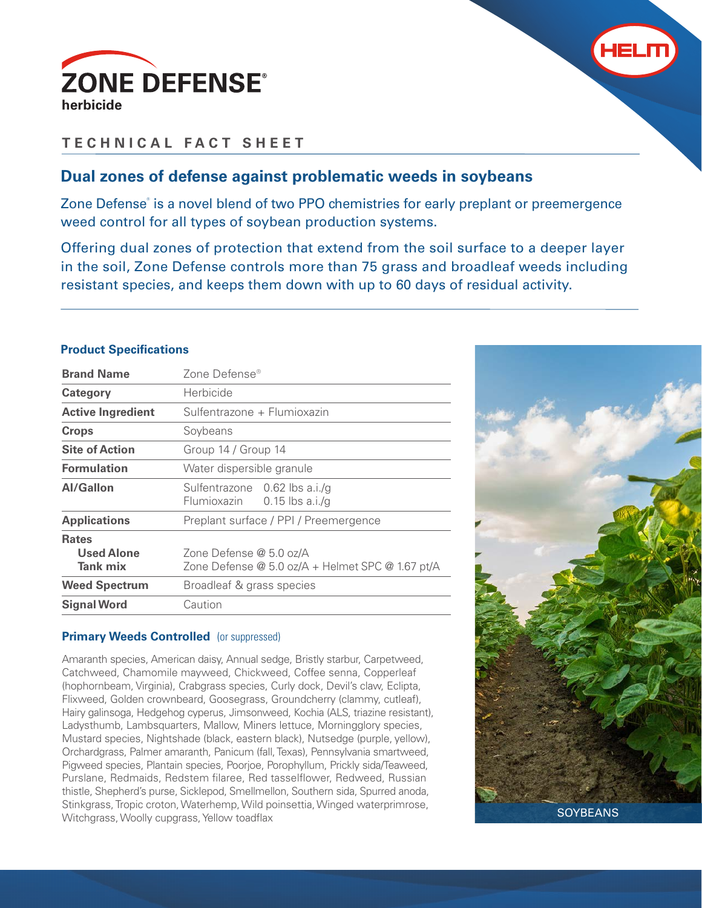



# **TECHNICAL FACT SHEET**

# **Dual zones of defense against problematic weeds in soybeans**

Zone Defense<sup>®</sup> is a novel blend of two PPO chemistries for early preplant or preemergence weed control for all types of soybean production systems.

Offering dual zones of protection that extend from the soil surface to a deeper layer in the soil, Zone Defense controls more than 75 grass and broadleaf weeds including resistant species, and keeps them down with up to 60 days of residual activity.

# **Product Specifications**

| <b>Brand Name</b>                                    | Zone Defense <sup>®</sup>                                                   |  |
|------------------------------------------------------|-----------------------------------------------------------------------------|--|
| Category                                             | Herbicide                                                                   |  |
| <b>Active Ingredient</b>                             | Sulfentrazone + Flumioxazin                                                 |  |
| <b>Crops</b>                                         | Soybeans                                                                    |  |
| <b>Site of Action</b>                                | Group 14 / Group 14                                                         |  |
| <b>Formulation</b>                                   | Water dispersible granule                                                   |  |
| <b>Al/Gallon</b>                                     | Sulfentrazone 0.62 lbs a.i./g<br>Flumioxazin 0.15 lbs a.i./g                |  |
| <b>Applications</b>                                  | Preplant surface / PPI / Preemergence                                       |  |
| <b>Rates</b><br><b>Used Alone</b><br><b>Tank mix</b> | Zone Defense @ 5.0 oz/A<br>Zone Defense @ 5.0 oz/A + Helmet SPC @ 1.67 pt/A |  |
| <b>Weed Spectrum</b>                                 | Broadleaf & grass species                                                   |  |
| <b>Signal Word</b>                                   | Caution                                                                     |  |

# **Primary Weeds Controlled** (or suppressed)

Amaranth species, American daisy, Annual sedge, Bristly starbur, Carpetweed, Catchweed, Chamomile mayweed, Chickweed, Coffee senna, Copperleaf (hophornbeam, Virginia), Crabgrass species, Curly dock, Devil's claw, Eclipta, Flixweed, Golden crownbeard, Goosegrass, Groundcherry (clammy, cutleaf), Hairy galinsoga, Hedgehog cyperus, Jimsonweed, Kochia (ALS, triazine resistant), Ladysthumb, Lambsquarters, Mallow, Miners lettuce, Morningglory species, Mustard species, Nightshade (black, eastern black), Nutsedge (purple, yellow), Orchardgrass, Palmer amaranth, Panicum (fall, Texas), Pennsylvania smartweed, Pigweed species, Plantain species, Poorjoe, Porophyllum, Prickly sida/Teaweed, Purslane, Redmaids, Redstem filaree, Red tasselflower, Redweed, Russian thistle, Shepherd's purse, Sicklepod, Smellmellon, Southern sida, Spurred anoda, Stinkgrass, Tropic croton, Waterhemp, Wild poinsettia, Winged waterprimrose, Witchgrass, Woolly cupgrass, Yellow toadflax